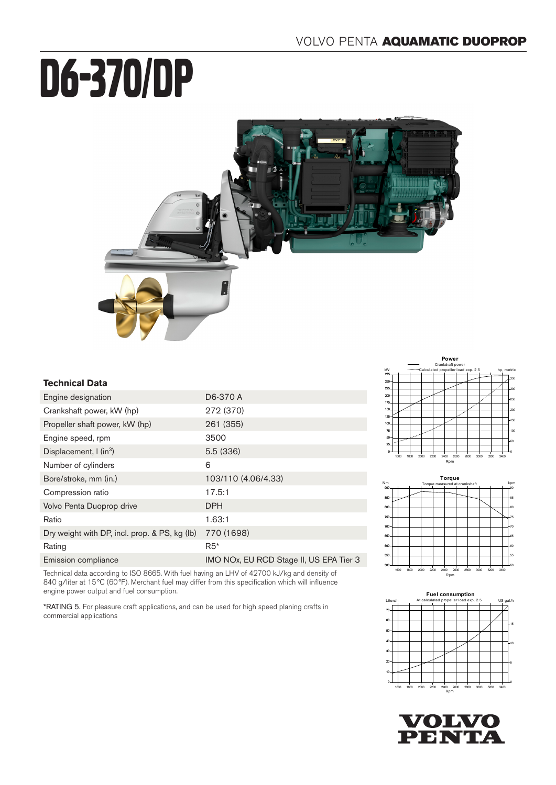# D6-370/DP



# **Technical Data**

| Engine designation                            | D6-370 A                                |
|-----------------------------------------------|-----------------------------------------|
| Crankshaft power, kW (hp)                     | 272 (370)                               |
| Propeller shaft power, kW (hp)                | 261 (355)                               |
| Engine speed, rpm                             | 3500                                    |
| Displacement, $\int$ (in <sup>3</sup> )       | 5.5(336)                                |
| Number of cylinders                           | 6                                       |
| Bore/stroke, mm (in.)                         | 103/110 (4.06/4.33)                     |
| Compression ratio                             | 17.5:1                                  |
| Volvo Penta Duoprop drive                     | <b>DPH</b>                              |
| Ratio                                         | 1.63:1                                  |
| Dry weight with DP, incl. prop. & PS, kg (lb) | 770 (1698)                              |
| Rating                                        | $R5*$                                   |
| Emission compliance                           | IMO NOx, EU RCD Stage II, US EPA Tier 3 |

Technical data according to ISO 8665. With fuel having an LHV of 42700 kJ/kg and density of 840 g/liter at 15°C (60°F). Merchant fuel may differ from this specification which will influence engine power output and fuel consumption.

\*RATING 5. For pleasure craft applications, and can be used for high speed planing crafts in commercial applications